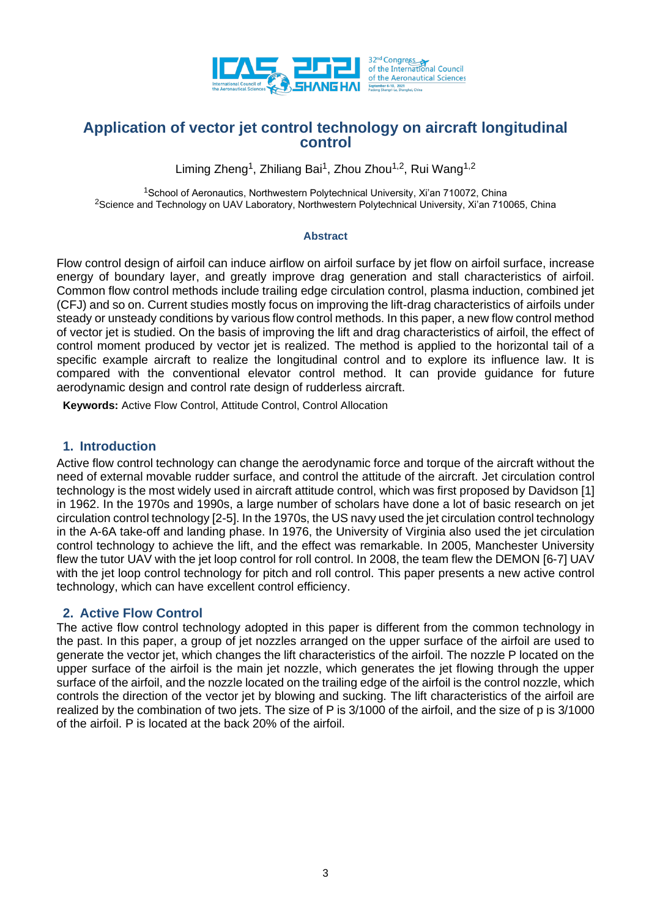

# **Application of vector jet control technology on aircraft longitudinal control**

Liming Zheng<sup>1</sup>, Zhiliang Bai<sup>1</sup>, Zhou Zhou<sup>1,2</sup>, Rui Wang<sup>1,2</sup>

<sup>1</sup>School of Aeronautics, Northwestern Polytechnical University, Xi'an 710072, China <sup>2</sup>Science and Technology on UAV Laboratory, Northwestern Polytechnical University, Xi'an 710065, China

#### **Abstract**

Flow control design of airfoil can induce airflow on airfoil surface by jet flow on airfoil surface, increase energy of boundary layer, and greatly improve drag generation and stall characteristics of airfoil. Common flow control methods include trailing edge circulation control, plasma induction, combined jet (CFJ) and so on. Current studies mostly focus on improving the lift-drag characteristics of airfoils under steady or unsteady conditions by various flow control methods. In this paper, a new flow control method of vector jet is studied. On the basis of improving the lift and drag characteristics of airfoil, the effect of control moment produced by vector jet is realized. The method is applied to the horizontal tail of a specific example aircraft to realize the longitudinal control and to explore its influence law. It is compared with the conventional elevator control method. It can provide guidance for future aerodynamic design and control rate design of rudderless aircraft.

**Keywords:** Active Flow Control, Attitude Control, Control Allocation

### **1. Introduction**

Active flow control technology can change the aerodynamic force and torque of the aircraft without the need of external movable rudder surface, and control the attitude of the aircraft. Jet circulation control technology is the most widely used in aircraft attitude control, which was first proposed by Davidson [1] in 1962. In the 1970s and 1990s, a large number of scholars have done a lot of basic research on jet circulation control technology [2-5]. In the 1970s, the US navy used the jet circulation control technology in the A-6A take-off and landing phase. In 1976, the University of Virginia also used the jet circulation control technology to achieve the lift, and the effect was remarkable. In 2005, Manchester University flew the tutor UAV with the jet loop control for roll control. In 2008, the team flew the DEMON [6-7] UAV with the jet loop control technology for pitch and roll control. This paper presents a new active control technology, which can have excellent control efficiency.

### **2. Active Flow Control**

The active flow control technology adopted in this paper is different from the common technology in the past. In this paper, a group of jet nozzles arranged on the upper surface of the airfoil are used to generate the vector jet, which changes the lift characteristics of the airfoil. The nozzle P located on the upper surface of the airfoil is the main jet nozzle, which generates the jet flowing through the upper surface of the airfoil, and the nozzle located on the trailing edge of the airfoil is the control nozzle, which controls the direction of the vector jet by blowing and sucking. The lift characteristics of the airfoil are realized by the combination of two jets. The size of P is 3/1000 of the airfoil, and the size of p is 3/1000 of the airfoil. P is located at the back 20% of the airfoil.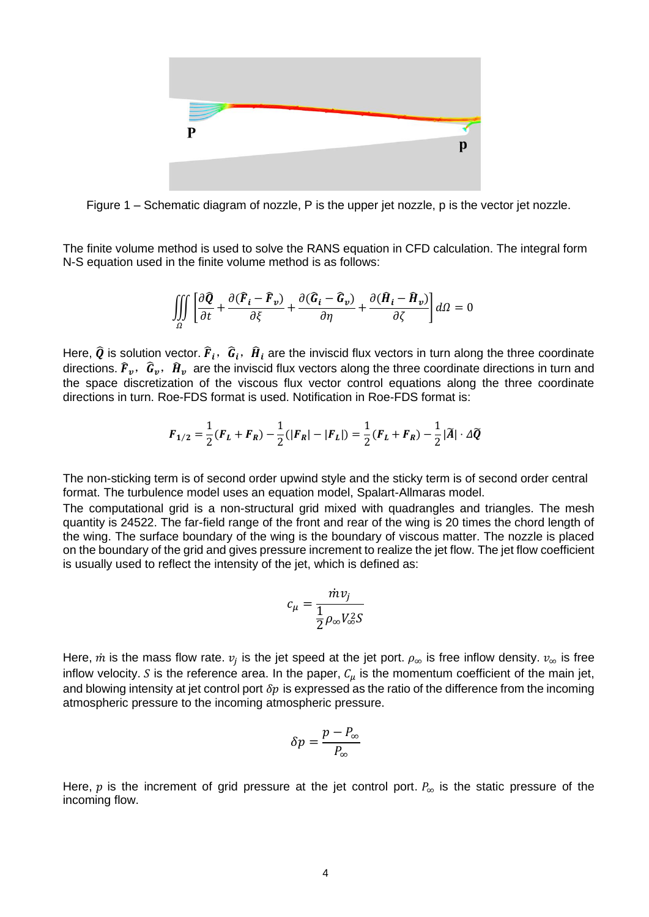

Figure 1 – Schematic diagram of nozzle, P is the upper jet nozzle, p is the vector jet nozzle.

The finite volume method is used to solve the RANS equation in CFD calculation. The integral form N-S equation used in the finite volume method is as follows:

$$
\iiint\limits_{\Omega} \left[ \frac{\partial \widehat{\boldsymbol{Q}}}{\partial t} + \frac{\partial (\widehat{\boldsymbol{F}}_i - \widehat{\boldsymbol{F}}_v)}{\partial \xi} + \frac{\partial (\widehat{\boldsymbol{G}}_i - \widehat{\boldsymbol{G}}_v)}{\partial \eta} + \frac{\partial (\widehat{\boldsymbol{H}}_i - \widehat{\boldsymbol{H}}_v)}{\partial \zeta} \right] d\Omega = 0
$$

Here,  $\hat{\bm{Q}}$  is solution vector.  $\hat{F}_i$ ,  $\hat{G}_i$ ,  $\hat{H}_i$  are the inviscid flux vectors in turn along the three coordinate directions.  $\hat{F}_v$ ,  $\hat{G}_v$ ,  $\hat{H}_v$  are the inviscid flux vectors along the three coordinate directions in turn and the space discretization of the viscous flux vector control equations along the three coordinate directions in turn. Roe-FDS format is used. Notification in Roe-FDS format is:

$$
F_{1/2} = \frac{1}{2} (F_L + F_R) - \frac{1}{2} (|F_R| - |F_L|) = \frac{1}{2} (F_L + F_R) - \frac{1}{2} |\tilde{A}| \cdot \Delta \tilde{Q}
$$

The non-sticking term is of second order upwind style and the sticky term is of second order central format. The turbulence model uses an equation model, Spalart-Allmaras model.

The computational grid is a non-structural grid mixed with quadrangles and triangles. The mesh quantity is 24522. The far-field range of the front and rear of the wing is 20 times the chord length of the wing. The surface boundary of the wing is the boundary of viscous matter. The nozzle is placed on the boundary of the grid and gives pressure increment to realize the jet flow. The jet flow coefficient is usually used to reflect the intensity of the jet, which is defined as:

$$
c_{\mu} = \frac{\dot{m}v_j}{\frac{1}{2}\rho_{\infty}V_{\infty}^2S}
$$

Here,  $\dot{m}$  is the mass flow rate.  $v_j$  is the jet speed at the jet port.  $\rho_\infty$  is free inflow density.  $v_\infty$  is free inflow velocity. *S* is the reference area. In the paper,  $C_u$  is the momentum coefficient of the main jet, and blowing intensity at jet control port  $\delta p$  is expressed as the ratio of the difference from the incoming atmospheric pressure to the incoming atmospheric pressure.

$$
\delta p = \frac{p - P_{\infty}}{P_{\infty}}
$$

Here,  $p$  is the increment of grid pressure at the jet control port.  $P_{\infty}$  is the static pressure of the incoming flow.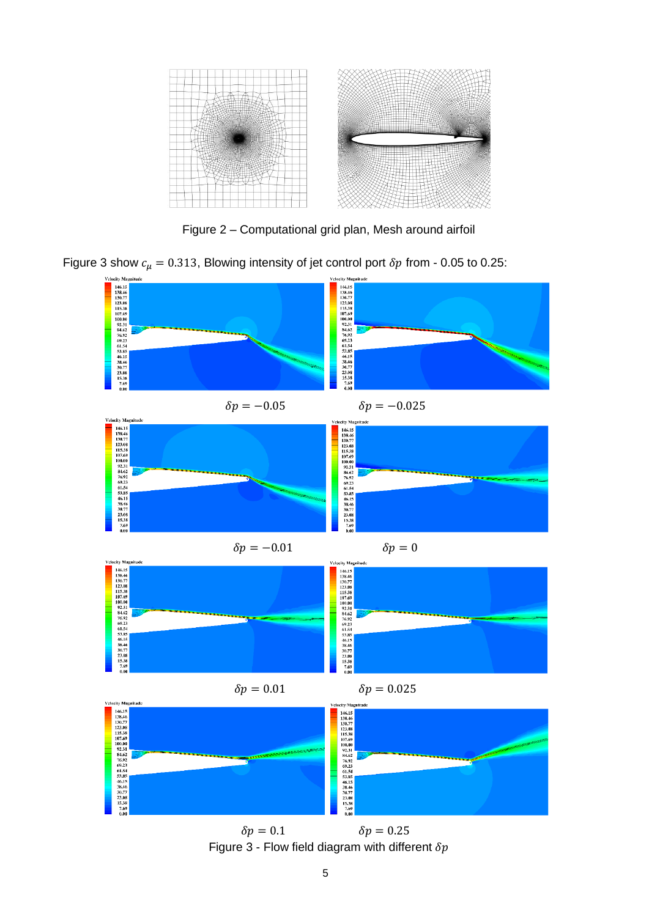

Figure 2 – Computational grid plan, Mesh around airfoil

Figure 3 show  $c_{\mu} = 0.313$ , Blowing intensity of jet control port  $\delta p$  from - 0.05 to 0.25:



 $\delta p = 0.1$   $\delta p = 0.25$ Figure 3 - Flow field diagram with different  $\delta p$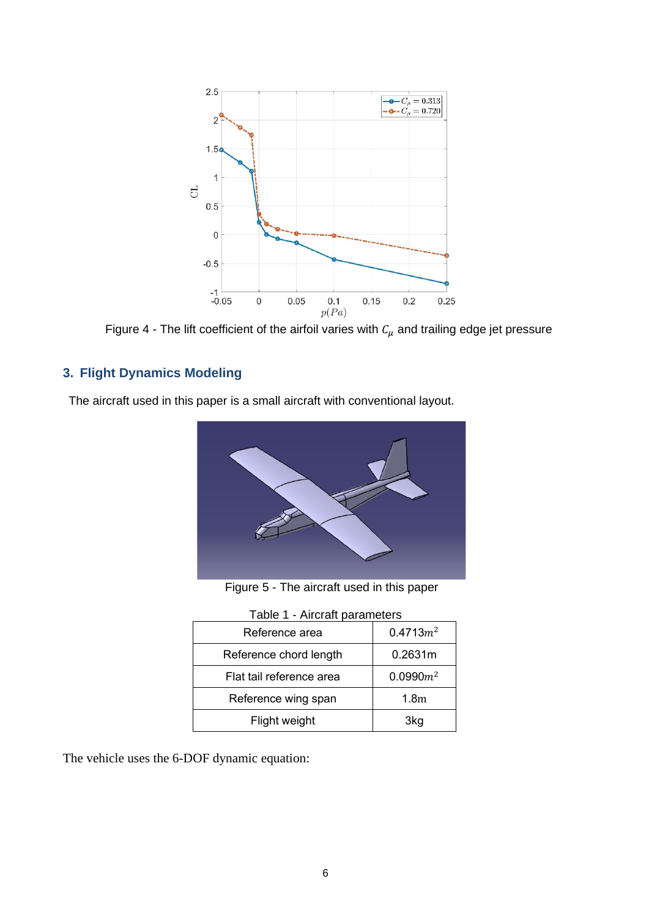

Figure 4 - The lift coefficient of the airfoil varies with  $C_\mu$  and trailing edge jet pressure

# **3. Flight Dynamics Modeling**

The aircraft used in this paper is a small aircraft with conventional layout.



Figure 5 - The aircraft used in this paper

| Table 1 - Aircraft parameters |                  |
|-------------------------------|------------------|
| Reference area                | $0.4713m^2$      |
| Reference chord length        | 0.2631m          |
| Flat tail reference area      | $0.0990m^2$      |
| Reference wing span           | 1.8 <sub>m</sub> |
| Flight weight                 | 3kg              |

The vehicle uses the 6-DOF dynamic equation: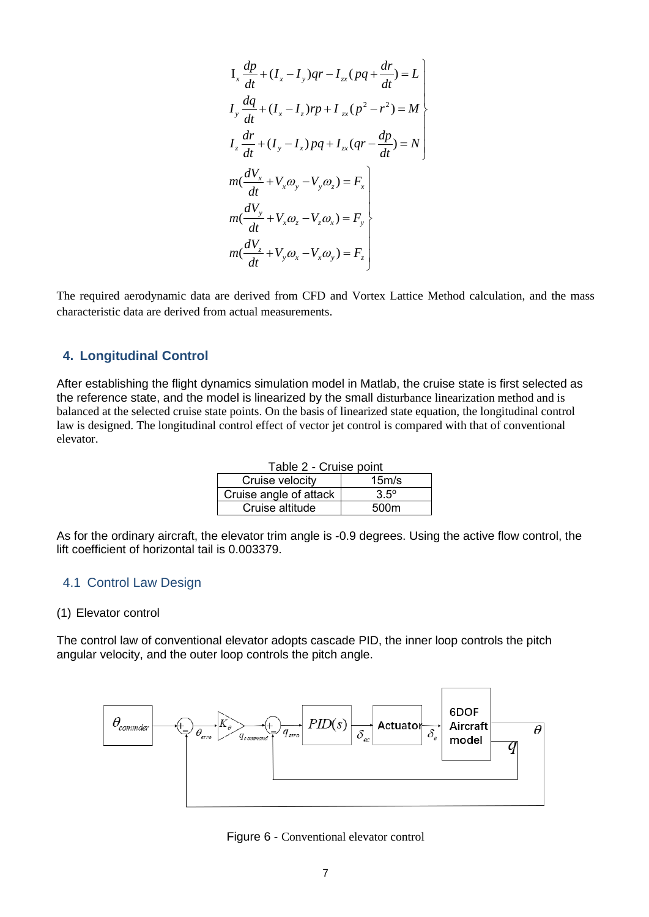$$
I_x \frac{dp}{dt} + (I_x - I_y)qr - I_{xx}(pq + \frac{dr}{dt}) = L
$$
  
\n
$$
I_y \frac{dq}{dt} + (I_x - I_z)rp + I_{xx}(p^2 - r^2) = M
$$
  
\n
$$
I_z \frac{dr}{dt} + (I_y - I_x)pq + I_{xx}(qr - \frac{dp}{dt}) = N
$$
  
\n
$$
m(\frac{dV_x}{dt} + V_x \omega_y - V_y \omega_z) = F_x
$$
  
\n
$$
m(\frac{dV_y}{dt} + V_x \omega_z - V_z \omega_x) = F_y
$$
  
\n
$$
m(\frac{dV_z}{dt} + V_y \omega_x - V_x \omega_y) = F_z
$$

The required aerodynamic data are derived from CFD and Vortex Lattice Method calculation, and the mass characteristic data are derived from actual measurements.

### **4. Longitudinal Control**

After establishing the flight dynamics simulation model in Matlab, the cruise state is first selected as the reference state, and the model is linearized by the small disturbance linearization method and is balanced at the selected cruise state points. On the basis of linearized state equation, the longitudinal control law is designed. The longitudinal control effect of vector jet control is compared with that of conventional elevator.

| Table 2 - Cruise point |             |  |
|------------------------|-------------|--|
| Cruise velocity        | 15m/s       |  |
| Cruise angle of attack | $3.5^\circ$ |  |
| Cruise altitude        | 500m        |  |

As for the ordinary aircraft, the elevator trim angle is -0.9 degrees. Using the active flow control, the lift coefficient of horizontal tail is 0.003379.

### 4.1 Control Law Design

#### (1) Elevator control

The control law of conventional elevator adopts cascade PID, the inner loop controls the pitch angular velocity, and the outer loop controls the pitch angle.



Figure 6 - Conventional elevator control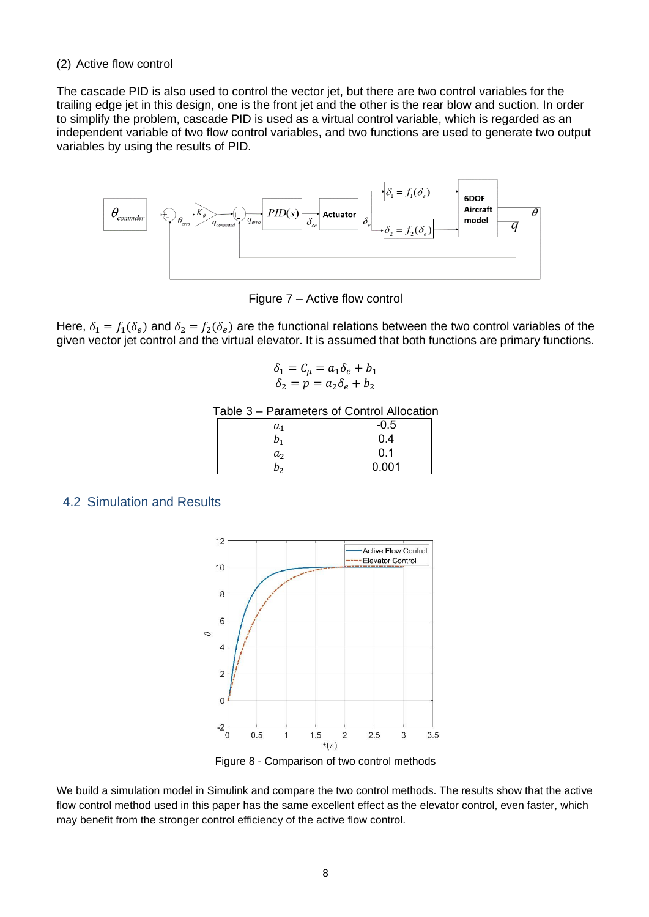### (2) Active flow control

The cascade PID is also used to control the vector jet, but there are two control variables for the trailing edge jet in this design, one is the front jet and the other is the rear blow and suction. In order to simplify the problem, cascade PID is used as a virtual control variable, which is regarded as an independent variable of two flow control variables, and two functions are used to generate two output variables by using the results of PID.



Figure 7 – Active flow control

Here,  $\delta_1 = f_1(\delta_e)$  and  $\delta_2 = f_2(\delta_e)$  are the functional relations between the two control variables of the given vector jet control and the virtual elevator. It is assumed that both functions are primary functions.

$$
\delta_1 = C_\mu = a_1 \delta_e + b_1
$$
  

$$
\delta_2 = p = a_2 \delta_e + b_2
$$

Table 3 – Parameters of Control Allocation

| a  | $-0.5$ |
|----|--------|
|    | 0.4    |
| a, | 0.1    |
|    | 0.001  |

### 4.2 Simulation and Results



Figure 8 - Comparison of two control methods

We build a simulation model in Simulink and compare the two control methods. The results show that the active flow control method used in this paper has the same excellent effect as the elevator control, even faster, which may benefit from the stronger control efficiency of the active flow control.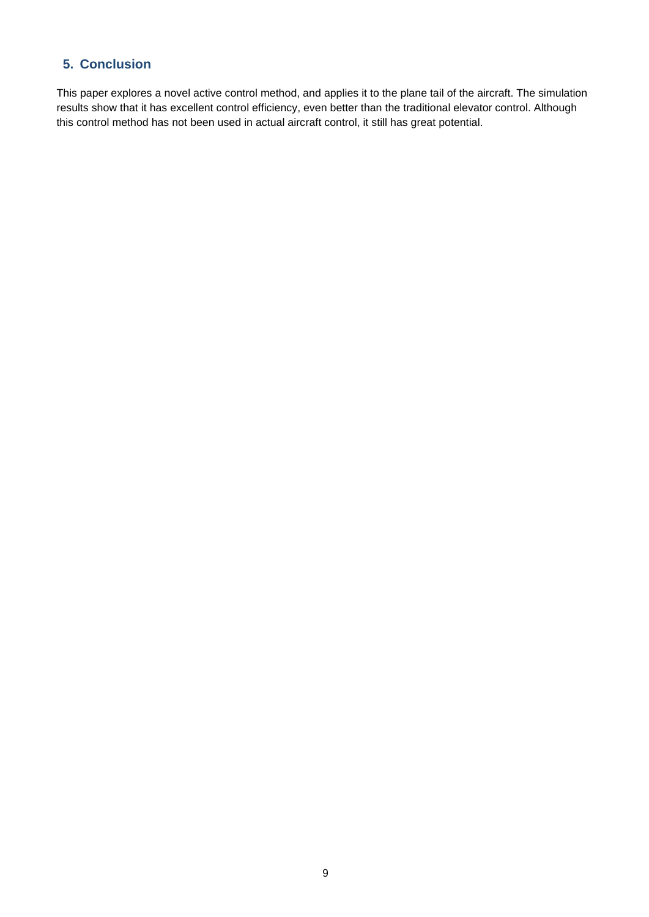## **5. Conclusion**

This paper explores a novel active control method, and applies it to the plane tail of the aircraft. The simulation results show that it has excellent control efficiency, even better than the traditional elevator control. Although this control method has not been used in actual aircraft control, it still has great potential.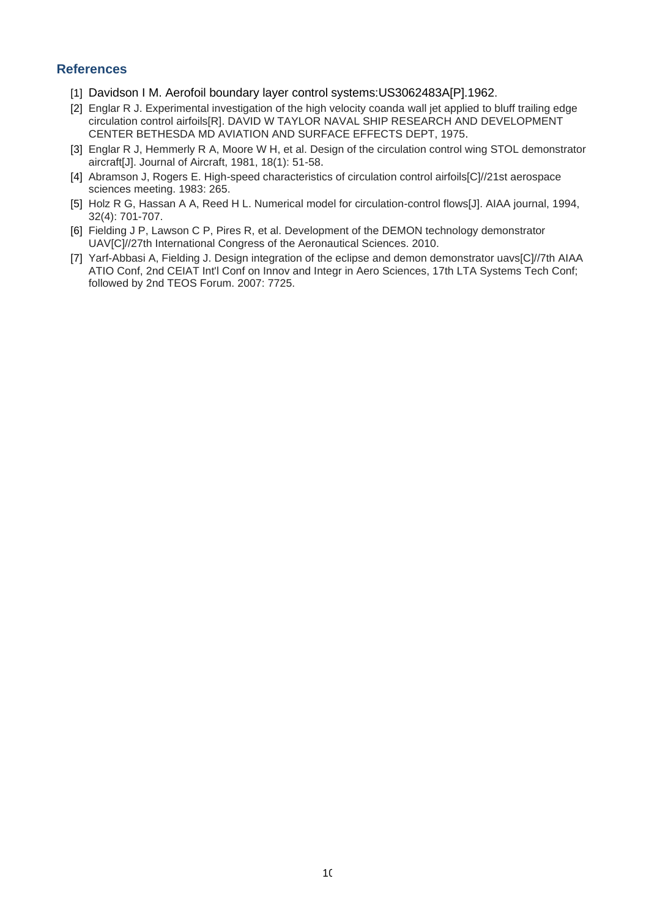### **References**

- [1] Davidson I M. Aerofoil boundary layer control systems: US3062483A[P].1962.
- [2] Englar R J. Experimental investigation of the high velocity coanda wall jet applied to bluff trailing edge circulation control airfoils[R]. DAVID W TAYLOR NAVAL SHIP RESEARCH AND DEVELOPMENT CENTER BETHESDA MD AVIATION AND SURFACE EFFECTS DEPT, 1975.
- [3] Englar R J, Hemmerly R A, Moore W H, et al. Design of the circulation control wing STOL demonstrator aircraft[J]. Journal of Aircraft, 1981, 18(1): 51-58.
- [4] Abramson J, Rogers E. High-speed characteristics of circulation control airfoils[C]//21st aerospace sciences meeting. 1983: 265.
- [5] Holz R G, Hassan A A, Reed H L. Numerical model for circulation-control flows[J]. AIAA journal, 1994, 32(4): 701-707.
- [6] Fielding J P, Lawson C P, Pires R, et al. Development of the DEMON technology demonstrator UAV[C]//27th International Congress of the Aeronautical Sciences. 2010.
- [7] Yarf-Abbasi A, Fielding J. Design integration of the eclipse and demon demonstrator uavs[C]//7th AIAA ATIO Conf, 2nd CEIAT Int'l Conf on Innov and Integr in Aero Sciences, 17th LTA Systems Tech Conf; followed by 2nd TEOS Forum. 2007: 7725.